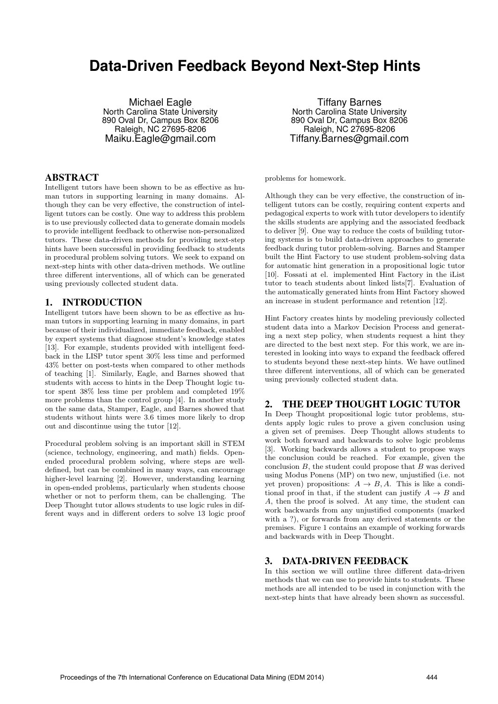# **Data-Driven Feedback Beyond Next-Step Hints**

Michael Eagle North Carolina State University 890 Oval Dr, Campus Box 8206 Raleigh, NC 27695-8206 Maiku.Eagle@gmail.com

# ABSTRACT

Intelligent tutors have been shown to be as effective as human tutors in supporting learning in many domains. Although they can be very effective, the construction of intelligent tutors can be costly. One way to address this problem is to use previously collected data to generate domain models to provide intelligent feedback to otherwise non-personalized tutors. These data-driven methods for providing next-step hints have been successful in providing feedback to students in procedural problem solving tutors. We seek to expand on next-step hints with other data-driven methods. We outline three different interventions, all of which can be generated using previously collected student data.

# 1. INTRODUCTION

Intelligent tutors have been shown to be as effective as human tutors in supporting learning in many domains, in part because of their individualized, immediate feedback, enabled by expert systems that diagnose student's knowledge states [13]. For example, students provided with intelligent feedback in the LISP tutor spent 30% less time and performed 43% better on post-tests when compared to other methods of teaching [1]. Similarly, Eagle, and Barnes showed that students with access to hints in the Deep Thought logic tutor spent 38% less time per problem and completed 19% more problems than the control group [4]. In another study on the same data, Stamper, Eagle, and Barnes showed that students without hints were 3.6 times more likely to drop out and discontinue using the tutor [12].

Procedural problem solving is an important skill in STEM (science, technology, engineering, and math) fields. Openended procedural problem solving, where steps are welldefined, but can be combined in many ways, can encourage higher-level learning [2]. However, understanding learning in open-ended problems, particularly when students choose whether or not to perform them, can be challenging. The Deep Thought tutor allows students to use logic rules in different ways and in different orders to solve 13 logic proof

Tiffany Barnes North Carolina State University 890 Oval Dr, Campus Box 8206 Raleigh, NC 27695-8206 Tiffany.Barnes@gmail.com

problems for homework.

Although they can be very effective, the construction of intelligent tutors can be costly, requiring content experts and pedagogical experts to work with tutor developers to identify the skills students are applying and the associated feedback to deliver [9]. One way to reduce the costs of building tutoring systems is to build data-driven approaches to generate feedback during tutor problem-solving. Barnes and Stamper built the Hint Factory to use student problem-solving data for automatic hint generation in a propositional logic tutor [10]. Fossati at el. implemented Hint Factory in the iList tutor to teach students about linked lists[7]. Evaluation of the automatically generated hints from Hint Factory showed an increase in student performance and retention [12].

Hint Factory creates hints by modeling previously collected student data into a Markov Decision Process and generating a next step policy, when students request a hint they are directed to the best next step. For this work, we are interested in looking into ways to expand the feedback offered to students beyond these next-step hints. We have outlined three different interventions, all of which can be generated using previously collected student data.

## 2. THE DEEP THOUGHT LOGIC TUTOR

In Deep Thought propositional logic tutor problems, students apply logic rules to prove a given conclusion using a given set of premises. Deep Thought allows students to work both forward and backwards to solve logic problems [3]. Working backwards allows a student to propose ways the conclusion could be reached. For example, given the conclusion *B*, the student could propose that *B* was derived using Modus Ponens (MP) on two new, unjustified (i.e. not yet proven) propositions:  $A \rightarrow B$ , A. This is like a conditional proof in that, if the student can justify  $A \rightarrow B$  and *A*, then the proof is solved. At any time, the student can work backwards from any unjustified components (marked with a ?), or forwards from any derived statements or the premises. Figure 1 contains an example of working forwards and backwards with in Deep Thought.

#### 3. DATA-DRIVEN FEEDBACK

In this section we will outline three different data-driven methods that we can use to provide hints to students. These methods are all intended to be used in conjunction with the next-step hints that have already been shown as successful.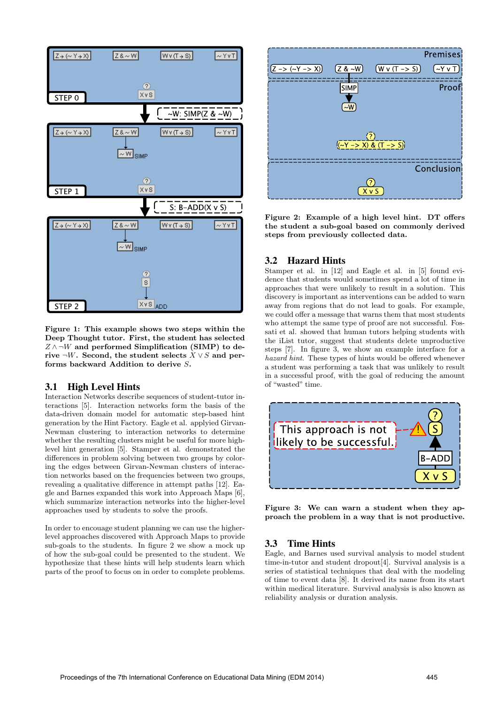

Figure 1: This example shows two steps within the Deep Thought tutor. First, the student has selected  $Z \wedge \neg W$  and performed Simplification (SIMP) to derive  $\neg W$ . Second, the student selects  $X \vee S$  and performs backward Addition to derive *S*.

### 3.1 High Level Hints

Interaction Networks describe sequences of student-tutor interactions [5]. Interaction networks form the basis of the data-driven domain model for automatic step-based hint generation by the Hint Factory. Eagle et al. applyied Girvan-Newman clustering to interaction networks to determine whether the resulting clusters might be useful for more highlevel hint generation [5]. Stamper et al. demonstrated the differences in problem solving between two groups by coloring the edges between Girvan-Newman clusters of interaction networks based on the frequencies between two groups, revealing a qualitative difference in attempt paths  $[12]$ . Eagle and Barnes expanded this work into Approach Maps [6], which summarize interaction networks into the higher-level approaches used by students to solve the proofs.

In order to encouage student planning we can use the higherlevel approaches discovered with Approach Maps to provide sub-goals to the students. In figure 2 we show a mock up of how the sub-goal could be presented to the student. We hypothesize that these hints will help students learn which parts of the proof to focus on in order to complete problems.



Figure 2: Example of a high level hint. DT offers the student a sub-goal based on commonly derived steps from previously collected data.

# 3.2 Hazard Hints

Stamper et al. in [12] and Eagle et al. in [5] found evidence that students would sometimes spend a lot of time in approaches that were unlikely to result in a solution. This discovery is important as interventions can be added to warn away from regions that do not lead to goals. For example, we could offer a message that warns them that most students who attempt the same type of proof are not successful. Fossati et al. showed that human tutors helping students with the iList tutor, suggest that students delete unproductive steps [7]. In figure 3, we show an example interface for a *hazard hint*. These types of hints would be offered whenever a student was performing a task that was unlikely to result in a successful proof, with the goal of reducing the amount of "wasted" time.



Figure 3: We can warn a student when they approach the problem in a way that is not productive.

### 3.3 Time Hints

Eagle, and Barnes used survival analysis to model student time-in-tutor and student dropout[4]. Survival analysis is a series of statistical techniques that deal with the modeling of time to event data [8]. It derived its name from its start within medical literature. Survival analysis is also known as reliability analysis or duration analysis.